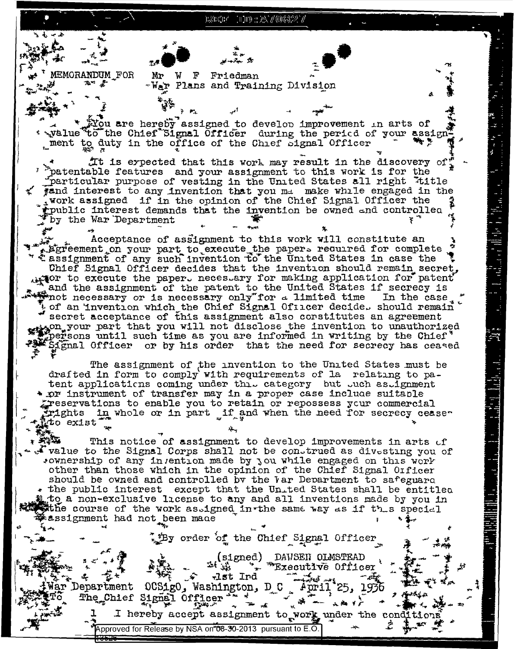13107 111) : X7018327

**MEMORANDUM\_FOR** Mr W F Friedman -War Plans and Training Division tou are hereby assigned to develop improvement in arts of . Walue to the Chief Signal Officer during the period of your assign whent to duty in the office of the Chief Signal Officer It is expected that this work may result in the discovery of: " "patentable features and your assignment to this work is for the particular purpose of vesting in the United States all right "title gand interest to any invention that you ma make while engaged in the , work assigned if in the opinion of the Chief Signal Officer the public interest demands that the invention be owned and controlled by the War Department Acceptance of assignment to this work will constitute an Egreement on your part to execute the papers recurred for complete " *Lassignment* of any such invention to the United States in case the Chief Signal Officer decides that the invention should remain secret,  $\mathcal{A}$  are to execute the paper. neces ary for making application for patent and the assignment of the patent to the United States if secrecy is that the contraction of is necessary only for a limited time In the case Left an invention which the Chief Signal Officer decide. should remain secret acceptance of this assignment also constitutes an agreement wh your part that you will not disclose the invention to unauthorized persons until such time as you are informed in writing by the Chief' Signal Officer or by his order that the need for secrecy has ceased The assignment of the invention to the United States must be drafted in form to comply with requirements of la relating to patent applications coming under this category but such assignment \* or instrument of transfer may in a proper case include suitable greservations to enable you to retain or repossess your commercial in whole or in part if and when the need for secrecy ceaseirights. to exist This notice of assignment to develop improvements in arts of to the Signal Corps shall not be construed as divesting you of sownership of any invention made by you while engaged on this work other than those which in the opinion of the Chief Signal Oificer should be owned and controlled by the Var Department to safeguard \* the public interest except that the United States shall be entitled to a non-exclusive license to any and all inventions made by you in the course of the work as.igned in the same way as if this special assignment had not been made thy order of the Chief Signal Officer  $(signed)$ DAVSEN OLMSTEAD  $\omega_{\rm c}$  )  $\omega$ Executive Officer  $\ddot{\phantom{a}}$ **Company of the contract of the contract of the contract of the contract of the contract of the contract of the** 记st Ind OCSigO, Washington, D\_C  $\sim$  April 25, 1936 Department The Chief Si gnal Officer 、读 ~ 六輪千广

ĺ

**LETNETT** 

 $\ddot{=}$ 

I hereby accept assignment to work under the conditions

Approved for Release by NSA on 08-30-2013 pursuant to E.O.